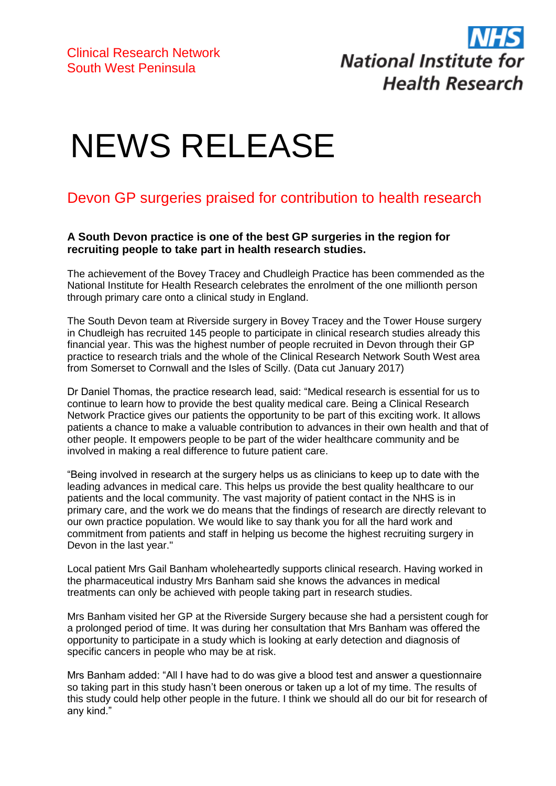

## NEWS RELEASE

## Devon GP surgeries praised for contribution to health research

## **A South Devon practice is one of the best GP surgeries in the region for recruiting people to take part in health research studies.**

The achievement of the Bovey Tracey and Chudleigh Practice has been commended as the National Institute for Health Research celebrates the enrolment of the one millionth person through primary care onto a clinical study in England.

The South Devon team at Riverside surgery in Bovey Tracey and the Tower House surgery in Chudleigh has recruited 145 people to participate in clinical research studies already this financial year. This was the highest number of people recruited in Devon through their GP practice to research trials and the whole of the Clinical Research Network South West area from Somerset to Cornwall and the Isles of Scilly. (Data cut January 2017)

Dr Daniel Thomas, the practice research lead, said: "Medical research is essential for us to continue to learn how to provide the best quality medical care. Being a Clinical Research Network Practice gives our patients the opportunity to be part of this exciting work. It allows patients a chance to make a valuable contribution to advances in their own health and that of other people. It empowers people to be part of the wider healthcare community and be involved in making a real difference to future patient care.

"Being involved in research at the surgery helps us as clinicians to keep up to date with the leading advances in medical care. This helps us provide the best quality healthcare to our patients and the local community. The vast majority of patient contact in the NHS is in primary care, and the work we do means that the findings of research are directly relevant to our own practice population. We would like to say thank you for all the hard work and commitment from patients and staff in helping us become the highest recruiting surgery in Devon in the last year."

Local patient Mrs Gail Banham wholeheartedly supports clinical research. Having worked in the pharmaceutical industry Mrs Banham said she knows the advances in medical treatments can only be achieved with people taking part in research studies.

Mrs Banham visited her GP at the Riverside Surgery because she had a persistent cough for a prolonged period of time. It was during her consultation that Mrs Banham was offered the opportunity to participate in a study which is looking at early detection and diagnosis of specific cancers in people who may be at risk.

Mrs Banham added: "All I have had to do was give a blood test and answer a questionnaire so taking part in this study hasn't been onerous or taken up a lot of my time. The results of this study could help other people in the future. I think we should all do our bit for research of any kind."